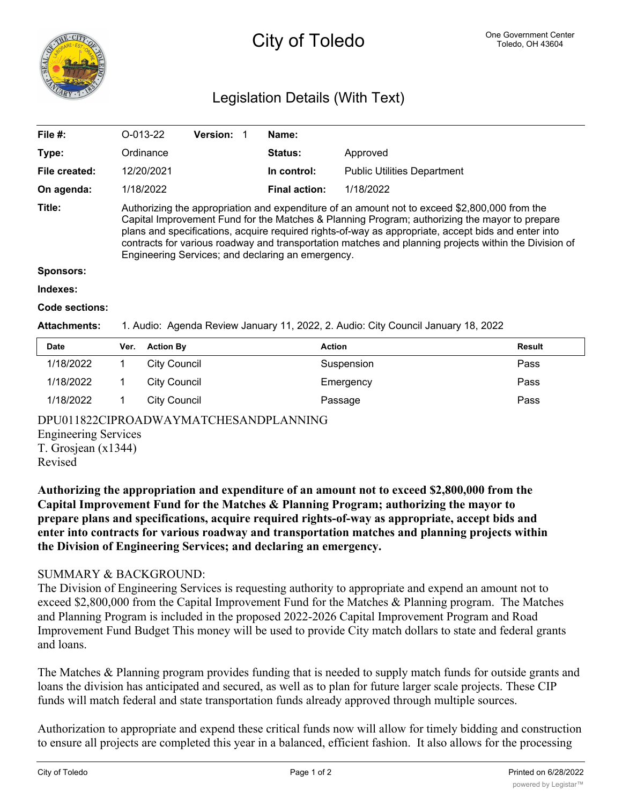

# City of Toledo One Government Center

## Legislation Details (With Text)

| File $#$ :    | $O-013-22$                                                                                                                                                                                                                                                                                                                                                                                                                                                          | <b>Version:</b> |  | Name:                |                                    |  |
|---------------|---------------------------------------------------------------------------------------------------------------------------------------------------------------------------------------------------------------------------------------------------------------------------------------------------------------------------------------------------------------------------------------------------------------------------------------------------------------------|-----------------|--|----------------------|------------------------------------|--|
| Type:         | Ordinance                                                                                                                                                                                                                                                                                                                                                                                                                                                           |                 |  | <b>Status:</b>       | Approved                           |  |
| File created: | 12/20/2021                                                                                                                                                                                                                                                                                                                                                                                                                                                          |                 |  | In control:          | <b>Public Utilities Department</b> |  |
| On agenda:    | 1/18/2022                                                                                                                                                                                                                                                                                                                                                                                                                                                           |                 |  | <b>Final action:</b> | 1/18/2022                          |  |
| Title:        | Authorizing the appropriation and expenditure of an amount not to exceed \$2,800,000 from the<br>Capital Improvement Fund for the Matches & Planning Program; authorizing the mayor to prepare<br>plans and specifications, acquire required rights-of-way as appropriate, accept bids and enter into<br>contracts for various roadway and transportation matches and planning projects within the Division of<br>Engineering Services; and declaring an emergency. |                 |  |                      |                                    |  |
| Sponsors:     |                                                                                                                                                                                                                                                                                                                                                                                                                                                                     |                 |  |                      |                                    |  |

#### **Indexes:**

#### **Code sections:**

#### **Attachments:** 1. Audio: Agenda Review January 11, 2022, 2. Audio: City Council January 18, 2022

| <b>Date</b> | Ver. | <b>Action By</b> | <b>Action</b> | <b>Result</b> |
|-------------|------|------------------|---------------|---------------|
| 1/18/2022   |      | City Council     | Suspension    | Pass          |
| 1/18/2022   |      | City Council     | Emergency     | Pass          |
| 1/18/2022   |      | City Council     | Passage       | Pass          |

### DPU011822CIPROADWAYMATCHESANDPLANNING

Engineering Services

T. Grosjean (x1344) Revised

**Authorizing the appropriation and expenditure of an amount not to exceed \$2,800,000 from the Capital Improvement Fund for the Matches & Planning Program; authorizing the mayor to prepare plans and specifications, acquire required rights-of-way as appropriate, accept bids and enter into contracts for various roadway and transportation matches and planning projects within the Division of Engineering Services; and declaring an emergency.**

### SUMMARY & BACKGROUND:

The Division of Engineering Services is requesting authority to appropriate and expend an amount not to exceed \$2,800,000 from the Capital Improvement Fund for the Matches & Planning program. The Matches and Planning Program is included in the proposed 2022-2026 Capital Improvement Program and Road Improvement Fund Budget This money will be used to provide City match dollars to state and federal grants and loans.

The Matches & Planning program provides funding that is needed to supply match funds for outside grants and loans the division has anticipated and secured, as well as to plan for future larger scale projects. These CIP funds will match federal and state transportation funds already approved through multiple sources.

Authorization to appropriate and expend these critical funds now will allow for timely bidding and construction to ensure all projects are completed this year in a balanced, efficient fashion. It also allows for the processing